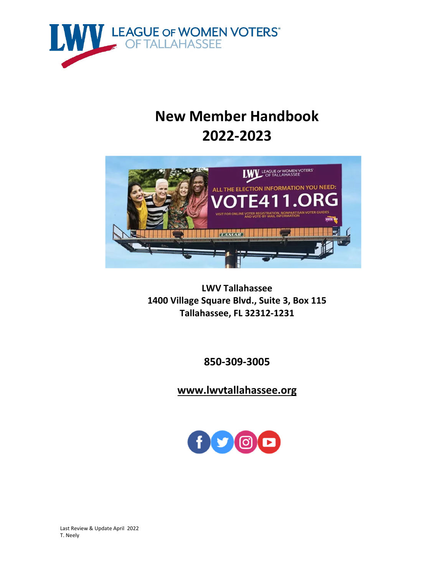

# **New Member Handbook 2022‐2023**



**LWV Tallahassee 1400 Village Square Blvd., Suite 3, Box 115 Tallahassee, FL 32312‐1231**

**850‐309‐3005**

**www.lwvtallahassee.org**



 Last Review & Update April 2022 T. Neely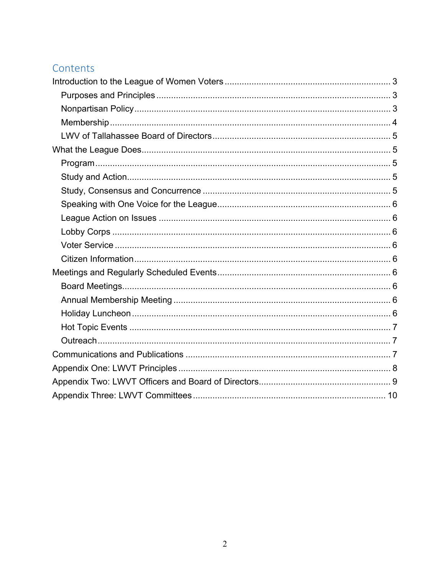# Contents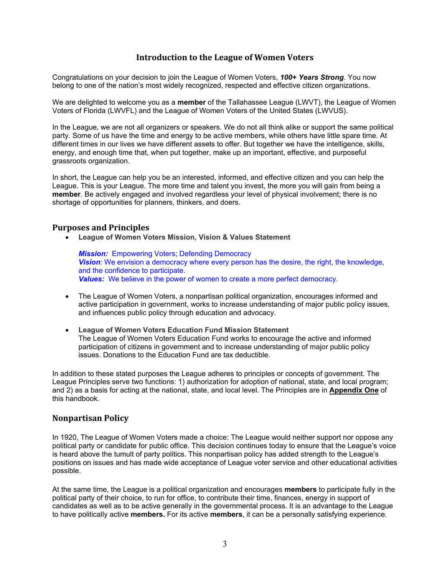# **Introduction to the League of Women Voters**

Congratulations on your decision to join the League of Women Voters, *100+ Years Strong*. You now belong to one of the nation's most widely recognized, respected and effective citizen organizations.

We are delighted to welcome you as a **member** of the Tallahassee League (LWVT), the League of Women Voters of Florida (LWVFL) and the League of Women Voters of the United States (LWVUS).

In the League, we are not all organizers or speakers. We do not all think alike or support the same political party. Some of us have the time and energy to be active members, while others have little spare time. At different times in our lives we have different assets to offer. But together we have the intelligence, skills, energy, and enough time that, when put together, make up an important, effective, and purposeful grassroots organization.

In short, the League can help you be an interested, informed, and effective citizen and you can help the League. This is your League. The more time and talent you invest, the more you will gain from being a **member**. Be actively engaged and involved regardless your level of physical involvement; there is no shortage of opportunities for planners, thinkers, and doers.

#### **Purposes and Principles**

**League of Women Voters Mission, Vision & Values Statement**

*Mission:* Empowering Voters; Defending Democracy **Vision**: We envision a democracy where every person has the desire, the right, the knowledge, and the confidence to participate. *Values:* We believe in the power of women to create a more perfect democracy.

- The League of Women Voters, a nonpartisan political organization, encourages informed and active participation in government, works to increase understanding of major public policy issues, and influences public policy through education and advocacy.
- **League of Women Voters Education Fund Mission Statement** The League of Women Voters Education Fund works to encourage the active and informed participation of citizens in government and to increase understanding of major public policy issues. Donations to the Education Fund are tax deductible.

In addition to these stated purposes the League adheres to principles or concepts of government. The League Principles serve two functions: 1) authorization for adoption of national, state, and local program; and 2) as a basis for acting at the national, state, and local level. The Principles are in **Appendix One** of this handbook.

# **Nonpartisan Policy**

In 1920, The League of Women Voters made a choice: The League would neither support nor oppose any political party or candidate for public office. This decision continues today to ensure that the League's voice is heard above the tumult of party politics. This nonpartisan policy has added strength to the League's positions on issues and has made wide acceptance of League voter service and other educational activities possible.

At the same time, the League is a political organization and encourages **members** to participate fully in the political party of their choice, to run for office, to contribute their time, finances, energy in support of candidates as well as to be active generally in the governmental process. It is an advantage to the League to have politically active **members.** For its active **members**, it can be a personally satisfying experience.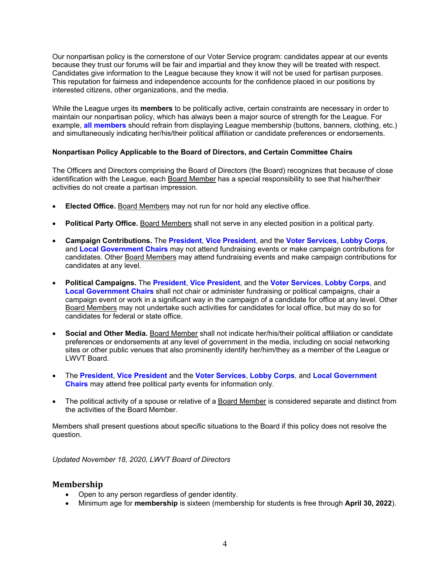Our nonpartisan policy is the cornerstone of our Voter Service program: candidates appear at our events because they trust our forums will be fair and impartial and they know they will be treated with respect. Candidates give information to the League because they know it will not be used for partisan purposes. This reputation for fairness and independence accounts for the confidence placed in our positions by interested citizens, other organizations, and the media.

While the League urges its **members** to be politically active, certain constraints are necessary in order to maintain our nonpartisan policy, which has always been a major source of strength for the League. For example, **all members** should refrain from displaying League membership (buttons, banners, clothing, etc.) and simultaneously indicating her/his/their political affiliation or candidate preferences or endorsements.

## **Nonpartisan Policy Applicable to the Board of Directors, and Certain Committee Chairs**

The Officers and Directors comprising the Board of Directors (the Board) recognizes that because of close identification with the League, each Board Member has a special responsibility to see that his/her/their activities do not create a partisan impression.

- **Elected Office.** Board Members may not run for nor hold any elective office.
- **Political Party Office.** Board Members shall not serve in any elected position in a political party.
- **Campaign Contributions.** The **President**, **Vice President**, and the **Voter Services**, **Lobby Corps**, and **Local Government Chairs** may not attend fundraising events or make campaign contributions for candidates. Other Board Members may attend fundraising events and make campaign contributions for candidates at any level.
- **Political Campaigns.** The **President**, **Vice President**, and the **Voter Services**, **Lobby Corps**, and **Local Government Chairs** shall not chair or administer fundraising or political campaigns, chair a campaign event or work in a significant way in the campaign of a candidate for office at any level. Other Board Members may not undertake such activities for candidates for local office, but may do so for candidates for federal or state office.
- **Social and Other Media.** Board Member shall not indicate her/his/their political affiliation or candidate preferences or endorsements at any level of government in the media, including on social networking sites or other public venues that also prominently identify her/him/they as a member of the League or LWVT Board.
- The **President**, **Vice President** and the **Voter Services**, **Lobby Corps**, and **Local Government Chairs** may attend free political party events for information only.
- The political activity of a spouse or relative of a Board Member is considered separate and distinct from the activities of the Board Member.

Members shall present questions about specific situations to the Board if this policy does not resolve the question.

*Updated November 18, 2020, LWVT Board of Directors* 

# **Membership**

- Open to any person regardless of gender identity.
- Minimum age for **membership** is sixteen (membership for students is free through **April 30, 2022**).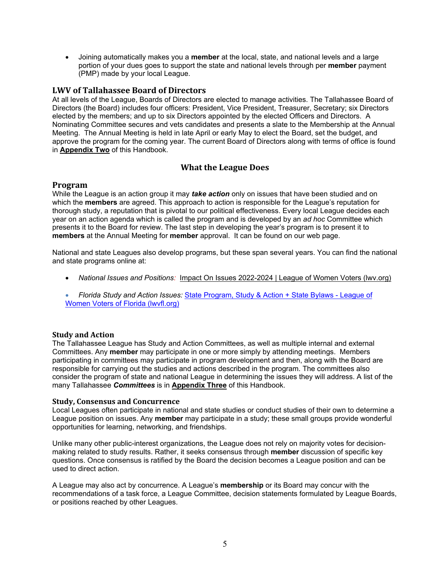Joining automatically makes you a **member** at the local, state, and national levels and a large portion of your dues goes to support the state and national levels through per **member** payment (PMP) made by your local League.

# **LWV of Tallahassee Board of Directors**

At all levels of the League, Boards of Directors are elected to manage activities. The Tallahassee Board of Directors (the Board) includes four officers: President, Vice President, Treasurer, Secretary; six Directors elected by the members; and up to six Directors appointed by the elected Officers and Directors. A Nominating Committee secures and vets candidates and presents a slate to the Membership at the Annual Meeting. The Annual Meeting is held in late April or early May to elect the Board, set the budget, and approve the program for the coming year. The current Board of Directors along with terms of office is found in **Appendix Two** of this Handbook.

# **What the League Does**

#### **Program**

While the League is an action group it may *take action* only on issues that have been studied and on which the **members** are agreed. This approach to action is responsible for the League's reputation for thorough study, a reputation that is pivotal to our political effectiveness. Every local League decides each year on an action agenda which is called the program and is developed by an *ad hoc* Committee which presents it to the Board for review. The last step in developing the year's program is to present it to **members** at the Annual Meeting for **member** approval. It can be found on our web page.

National and state Leagues also develop programs, but these span several years. You can find the national and state programs online at:

- *National Issues and Positions:* Impact On Issues 2022-2024 | League of Women Voters (lwv.org)
- *Florida Study and Action Issues:* State Program, Study & Action + State Bylaws League of Women Voters of Florida (lwvfl.org)

#### **Study and Action**

The Tallahassee League has Study and Action Committees, as well as multiple internal and external Committees. Any **member** may participate in one or more simply by attending meetings. Members participating in committees may participate in program development and then, along with the Board are responsible for carrying out the studies and actions described in the program. The committees also consider the program of state and national League in determining the issues they will address. A list of the many Tallahassee *Committees* is in **Appendix Three** of this Handbook.

#### **Study, Consensus and Concurrence**

Local Leagues often participate in national and state studies or conduct studies of their own to determine a League position on issues. Any **member** may participate in a study; these small groups provide wonderful opportunities for learning, networking, and friendships.

Unlike many other public-interest organizations, the League does not rely on majority votes for decisionmaking related to study results. Rather, it seeks consensus through **member** discussion of specific key questions. Once consensus is ratified by the Board the decision becomes a League position and can be used to direct action.

A League may also act by concurrence. A League's **membership** or its Board may concur with the recommendations of a task force, a League Committee, decision statements formulated by League Boards, or positions reached by other Leagues.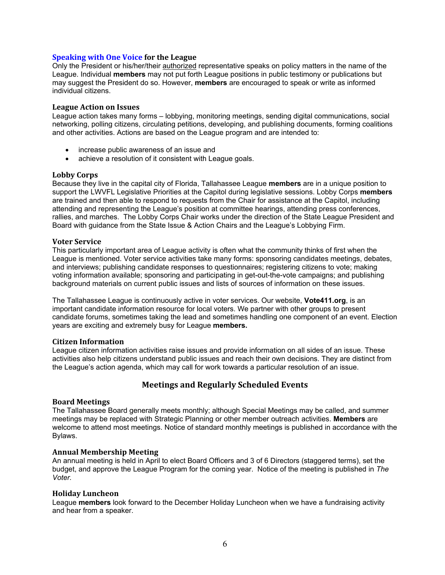#### **Speaking with One Voice for the League**

Only the President or his/her/their authorized representative speaks on policy matters in the name of the League. Individual **members** may not put forth League positions in public testimony or publications but may suggest the President do so. However, **members** are encouraged to speak or write as informed individual citizens.

#### **League Action on Issues**

League action takes many forms – lobbying, monitoring meetings, sending digital communications, social networking, polling citizens, circulating petitions, developing, and publishing documents, forming coalitions and other activities. Actions are based on the League program and are intended to:

- increase public awareness of an issue and
- achieve a resolution of it consistent with League goals.

#### **Lobby Corps**

Because they live in the capital city of Florida, Tallahassee League **members** are in a unique position to support the LWVFL Legislative Priorities at the Capitol during legislative sessions. Lobby Corps **members**  are trained and then able to respond to requests from the Chair for assistance at the Capitol, including attending and representing the League's position at committee hearings, attending press conferences, rallies, and marches. The Lobby Corps Chair works under the direction of the State League President and Board with guidance from the State Issue & Action Chairs and the League's Lobbying Firm.

#### **Voter Service**

This particularly important area of League activity is often what the community thinks of first when the League is mentioned. Voter service activities take many forms: sponsoring candidates meetings, debates, and interviews; publishing candidate responses to questionnaires; registering citizens to vote; making voting information available; sponsoring and participating in get-out-the-vote campaigns; and publishing background materials on current public issues and lists of sources of information on these issues.

The Tallahassee League is continuously active in voter services. Our website, **Vote411.org**, is an important candidate information resource for local voters. We partner with other groups to present candidate forums, sometimes taking the lead and sometimes handling one component of an event. Election years are exciting and extremely busy for League **members.**

#### **Citizen Information**

League citizen information activities raise issues and provide information on all sides of an issue. These activities also help citizens understand public issues and reach their own decisions. They are distinct from the League's action agenda, which may call for work towards a particular resolution of an issue.

# **Meetings and Regularly Scheduled Events**

#### **Board Meetings**

The Tallahassee Board generally meets monthly; although Special Meetings may be called, and summer meetings may be replaced with Strategic Planning or other member outreach activities. **Members** are welcome to attend most meetings. Notice of standard monthly meetings is published in accordance with the Bylaws.

#### **Annual Membership Meeting**

An annual meeting is held in April to elect Board Officers and 3 of 6 Directors (staggered terms), set the budget, and approve the League Program for the coming year. Notice of the meeting is published in *The Voter.*

#### **Holiday Luncheon**

League **members** look forward to the December Holiday Luncheon when we have a fundraising activity and hear from a speaker.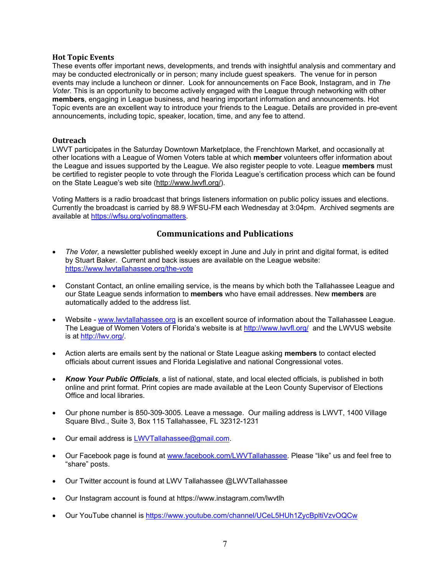#### **Hot Topic Events**

These events offer important news, developments, and trends with insightful analysis and commentary and may be conducted electronically or in person; many include guest speakers. The venue for in person events may include a luncheon or dinner. Look for announcements on Face Book, Instagram, and in *The Voter.* This is an opportunity to become actively engaged with the League through networking with other **members**, engaging in League business, and hearing important information and announcements. Hot Topic events are an excellent way to introduce your friends to the League. Details are provided in pre-event announcements, including topic, speaker, location, time, and any fee to attend.

#### **Outreach**

LWVT participates in the Saturday Downtown Marketplace, the Frenchtown Market, and occasionally at other locations with a League of Women Voters table at which **member** volunteers offer information about the League and issues supported by the League. We also register people to vote. League **members** must be certified to register people to vote through the Florida League's certification process which can be found on the State League's web site (http://www.lwvfl.org/).

Voting Matters is a radio broadcast that brings listeners information on public policy issues and elections. Currently the broadcast is carried by 88.9 WFSU-FM each Wednesday at 3:04pm. Archived segments are available at https://wfsu.org/votingmatters.

## **Communications and Publications**

- *The Voter,* a newsletter published weekly except in June and July in print and digital format, is edited by Stuart Baker. Current and back issues are available on the League website: https://www.lwvtallahassee.org/the-vote
- Constant Contact, an online emailing service, is the means by which both the Tallahassee League and our State League sends information to **members** who have email addresses. New **members** are automatically added to the address list.
- Website www.lwvtallahassee.org is an excellent source of information about the Tallahassee League. The League of Women Voters of Florida's website is at http://www.lwvfl.org/ and the LWVUS website is at http://lwv.org/.
- Action alerts are emails sent by the national or State League asking **members** to contact elected officials about current issues and Florida Legislative and national Congressional votes.
- *Know Your Public Officials,* a list of national, state, and local elected officials, is published in both online and print format. Print copies are made available at the Leon County Supervisor of Elections Office and local libraries.
- Our phone number is 850-309-3005. Leave a message. Our mailing address is LWVT, 1400 Village Square Blvd., Suite 3, Box 115 Tallahassee, FL 32312-1231
- Our email address is LWVTallahassee@gmail.com.
- Our Facebook page is found at www.facebook.com/LWVTallahassee. Please "like" us and feel free to "share" posts.
- Our Twitter account is found at LWV Tallahassee @LWVTallahassee
- Our Instagram account is found at https://www.instagram.com/lwvtlh
- Our YouTube channel is https://www.youtube.com/channel/UCeL5HUh1ZycBpltiVzvOQCw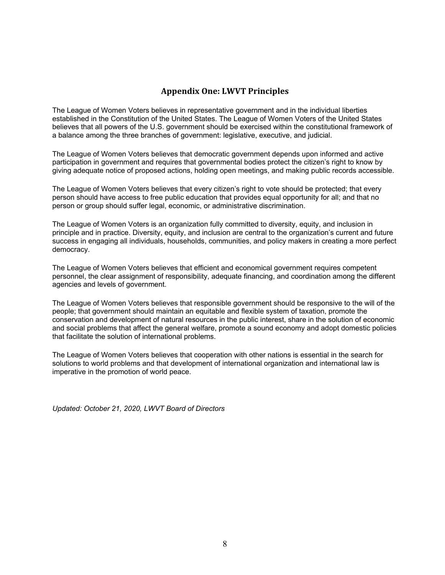# **Appendix One: LWVT Principles**

The League of Women Voters believes in representative government and in the individual liberties established in the Constitution of the United States. The League of Women Voters of the United States believes that all powers of the U.S. government should be exercised within the constitutional framework of a balance among the three branches of government: legislative, executive, and judicial.

The League of Women Voters believes that democratic government depends upon informed and active participation in government and requires that governmental bodies protect the citizen's right to know by giving adequate notice of proposed actions, holding open meetings, and making public records accessible.

The League of Women Voters believes that every citizen's right to vote should be protected; that every person should have access to free public education that provides equal opportunity for all; and that no person or group should suffer legal, economic, or administrative discrimination.

The League of Women Voters is an organization fully committed to diversity, equity, and inclusion in principle and in practice. Diversity, equity, and inclusion are central to the organization's current and future success in engaging all individuals, households, communities, and policy makers in creating a more perfect democracy.

The League of Women Voters believes that efficient and economical government requires competent personnel, the clear assignment of responsibility, adequate financing, and coordination among the different agencies and levels of government.

The League of Women Voters believes that responsible government should be responsive to the will of the people; that government should maintain an equitable and flexible system of taxation, promote the conservation and development of natural resources in the public interest, share in the solution of economic and social problems that affect the general welfare, promote a sound economy and adopt domestic policies that facilitate the solution of international problems.

The League of Women Voters believes that cooperation with other nations is essential in the search for solutions to world problems and that development of international organization and international law is imperative in the promotion of world peace.

*Updated: October 21, 2020, LWVT Board of Directors*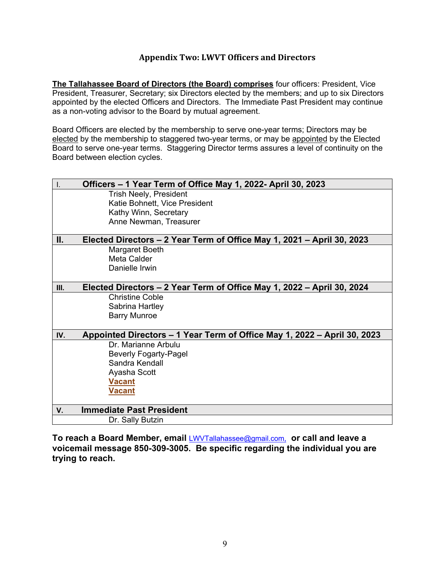# **Appendix Two: LWVT Officers and Directors**

**The Tallahassee Board of Directors (the Board) comprises** four officers: President, Vice President, Treasurer, Secretary; six Directors elected by the members; and up to six Directors appointed by the elected Officers and Directors. The Immediate Past President may continue as a non-voting advisor to the Board by mutual agreement.

Board Officers are elected by the membership to serve one-year terms; Directors may be elected by the membership to staggered two-year terms, or may be appointed by the Elected Board to serve one-year terms. Staggering Director terms assures a level of continuity on the Board between election cycles.

| Officers – 1 Year Term of Office May 1, 2022- April 30, 2023<br>I. |                                                                          |  |
|--------------------------------------------------------------------|--------------------------------------------------------------------------|--|
|                                                                    | <b>Trish Neely, President</b>                                            |  |
|                                                                    | Katie Bohnett, Vice President                                            |  |
|                                                                    | Kathy Winn, Secretary                                                    |  |
|                                                                    | Anne Newman, Treasurer                                                   |  |
|                                                                    |                                                                          |  |
| Ш.                                                                 | Elected Directors – 2 Year Term of Office May 1, 2021 – April 30, 2023   |  |
|                                                                    | Margaret Boeth                                                           |  |
|                                                                    | Meta Calder                                                              |  |
|                                                                    | Danielle Irwin                                                           |  |
| III.                                                               | Elected Directors – 2 Year Term of Office May 1, 2022 – April 30, 2024   |  |
|                                                                    | <b>Christine Coble</b>                                                   |  |
|                                                                    | Sabrina Hartley                                                          |  |
|                                                                    | <b>Barry Munroe</b>                                                      |  |
|                                                                    |                                                                          |  |
| IV.                                                                | Appointed Directors – 1 Year Term of Office May 1, 2022 – April 30, 2023 |  |
|                                                                    | Dr. Marianne Arbulu                                                      |  |
|                                                                    | <b>Beverly Fogarty-Pagel</b>                                             |  |
|                                                                    | Sandra Kendall                                                           |  |
|                                                                    | Ayasha Scott                                                             |  |
|                                                                    | <b>Vacant</b>                                                            |  |
|                                                                    | <b>Vacant</b>                                                            |  |
|                                                                    |                                                                          |  |
| V.                                                                 | <b>Immediate Past President</b>                                          |  |
|                                                                    | Dr. Sally Butzin                                                         |  |

**To reach a Board Member, email** LWVTallahassee@gmail.com, **or call and leave a voicemail message 850-309-3005. Be specific regarding the individual you are trying to reach.**